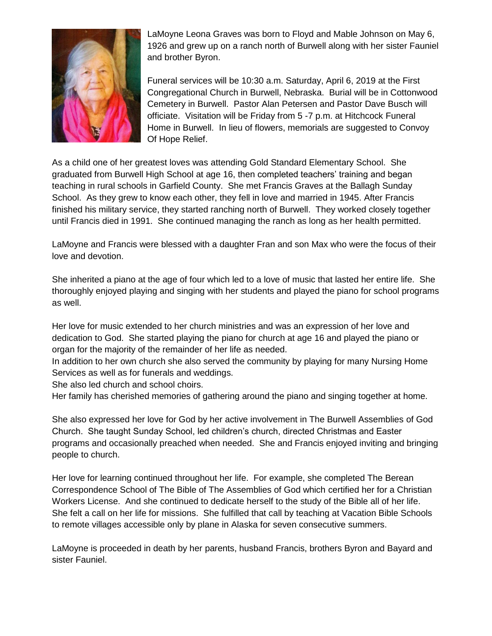

LaMoyne Leona Graves was born to Floyd and Mable Johnson on May 6, 1926 and grew up on a ranch north of Burwell along with her sister Fauniel and brother Byron.

Funeral services will be 10:30 a.m. Saturday, April 6, 2019 at the First Congregational Church in Burwell, Nebraska. Burial will be in Cottonwood Cemetery in Burwell. Pastor Alan Petersen and Pastor Dave Busch will officiate. Visitation will be Friday from 5 -7 p.m. at Hitchcock Funeral Home in Burwell. In lieu of flowers, memorials are suggested to Convoy Of Hope Relief.

As a child one of her greatest loves was attending Gold Standard Elementary School. She graduated from Burwell High School at age 16, then completed teachers' training and began teaching in rural schools in Garfield County. She met Francis Graves at the Ballagh Sunday School. As they grew to know each other, they fell in love and married in 1945. After Francis finished his military service, they started ranching north of Burwell. They worked closely together until Francis died in 1991. She continued managing the ranch as long as her health permitted.

LaMoyne and Francis were blessed with a daughter Fran and son Max who were the focus of their love and devotion.

She inherited a piano at the age of four which led to a love of music that lasted her entire life. She thoroughly enjoyed playing and singing with her students and played the piano for school programs as well.

Her love for music extended to her church ministries and was an expression of her love and dedication to God. She started playing the piano for church at age 16 and played the piano or organ for the majority of the remainder of her life as needed.

In addition to her own church she also served the community by playing for many Nursing Home Services as well as for funerals and weddings.

She also led church and school choirs.

Her family has cherished memories of gathering around the piano and singing together at home.

She also expressed her love for God by her active involvement in The Burwell Assemblies of God Church. She taught Sunday School, led children's church, directed Christmas and Easter programs and occasionally preached when needed. She and Francis enjoyed inviting and bringing people to church.

Her love for learning continued throughout her life. For example, she completed The Berean Correspondence School of The Bible of The Assemblies of God which certified her for a Christian Workers License. And she continued to dedicate herself to the study of the Bible all of her life. She felt a call on her life for missions. She fulfilled that call by teaching at Vacation Bible Schools to remote villages accessible only by plane in Alaska for seven consecutive summers.

LaMoyne is proceeded in death by her parents, husband Francis, brothers Byron and Bayard and sister Fauniel.